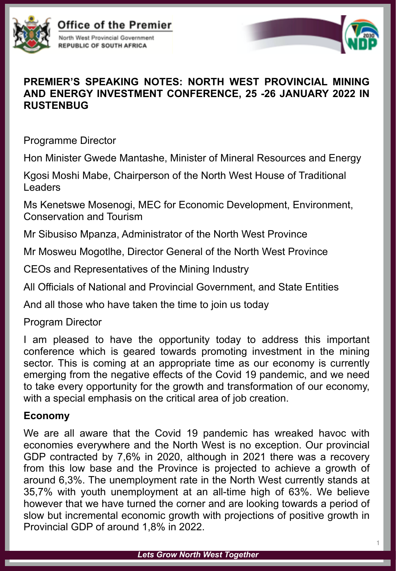

Office of the Premier North West Provincial Government

**REPUBLIC OF SOUTH AFRICA** 



### **PREMIER'S SPEAKING NOTES: NORTH WEST PROVINCIAL MINING AND ENERGY INVESTMENT CONFERENCE, 25 -26 JANUARY 2022 IN RUSTENBUG**

Programme Director

Hon Minister Gwede Mantashe, Minister of Mineral Resources and Energy

Kgosi Moshi Mabe, Chairperson of the North West House of Traditional Leaders

Ms Kenetswe Mosenogi, MEC for Economic Development, Environment, Conservation and Tourism

Mr Sibusiso Mpanza, Administrator of the North West Province

Mr Mosweu Mogotlhe, Director General of the North West Province

CEOs and Representatives of the Mining Industry

All Officials of National and Provincial Government, and State Entities

And all those who have taken the time to join us today

Program Director

I am pleased to have the opportunity today to address this important conference which is geared towards promoting investment in the mining sector. This is coming at an appropriate time as our economy is currently emerging from the negative effects of the Covid 19 pandemic, and we need to take every opportunity for the growth and transformation of our economy, with a special emphasis on the critical area of job creation.

# **Economy**

We are all aware that the Covid 19 pandemic has wreaked havoc with economies everywhere and the North West is no exception. Our provincial GDP contracted by 7,6% in 2020, although in 2021 there was a recovery from this low base and the Province is projected to achieve a growth of around 6,3%. The unemployment rate in the North West currently stands at 35,7% with youth unemployment at an all-time high of 63%. We believe however that we have turned the corner and are looking towards a period of slow but incremental economic growth with projections of positive growth in Provincial GDP of around 1,8% in 2022.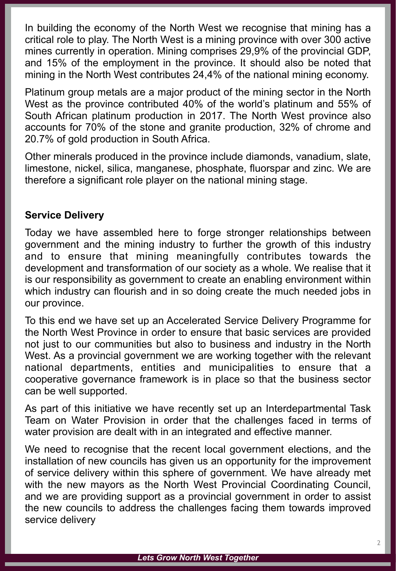In building the economy of the North West we recognise that mining has a critical role to play. The North West is a mining province with over 300 active mines currently in operation. Mining comprises 29,9% of the provincial GDP, and 15% of the employment in the province. It should also be noted that mining in the North West contributes 24,4% of the national mining economy.

Platinum group metals are a major product of the mining sector in the North West as the province contributed 40% of the world's platinum and 55% of South African platinum production in 2017. The North West province also accounts for 70% of the stone and granite production, 32% of chrome and 20.7% of gold production in South Africa.

Other minerals produced in the province include diamonds, vanadium, slate, limestone, nickel, silica, manganese, phosphate, fluorspar and zinc. We are therefore a significant role player on the national mining stage.

## **Service Delivery**

Today we have assembled here to forge stronger relationships between government and the mining industry to further the growth of this industry and to ensure that mining meaningfully contributes towards the development and transformation of our society as a whole. We realise that it is our responsibility as government to create an enabling environment within which industry can flourish and in so doing create the much needed jobs in our province.

To this end we have set up an Accelerated Service Delivery Programme for the North West Province in order to ensure that basic services are provided not just to our communities but also to business and industry in the North West. As a provincial government we are working together with the relevant national departments, entities and municipalities to ensure that a cooperative governance framework is in place so that the business sector can be well supported.

As part of this initiative we have recently set up an Interdepartmental Task Team on Water Provision in order that the challenges faced in terms of water provision are dealt with in an integrated and effective manner.

We need to recognise that the recent local government elections, and the installation of new councils has given us an opportunity for the improvement of service delivery within this sphere of government. We have already met with the new mayors as the North West Provincial Coordinating Council, and we are providing support as a provincial government in order to assist the new councils to address the challenges facing them towards improved service delivery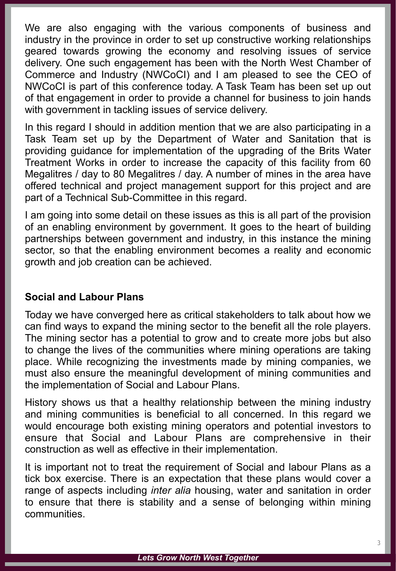We are also engaging with the various components of business and industry in the province in order to set up constructive working relationships geared towards growing the economy and resolving issues of service delivery. One such engagement has been with the North West Chamber of Commerce and Industry (NWCoCI) and I am pleased to see the CEO of NWCoCI is part of this conference today. A Task Team has been set up out of that engagement in order to provide a channel for business to join hands with government in tackling issues of service delivery.

In this regard I should in addition mention that we are also participating in a Task Team set up by the Department of Water and Sanitation that is providing guidance for implementation of the upgrading of the Brits Water Treatment Works in order to increase the capacity of this facility from 60 Megalitres / day to 80 Megalitres / day. A number of mines in the area have offered technical and project management support for this project and are part of a Technical Sub-Committee in this regard.

I am going into some detail on these issues as this is all part of the provision of an enabling environment by government. It goes to the heart of building partnerships between government and industry, in this instance the mining sector, so that the enabling environment becomes a reality and economic growth and job creation can be achieved.

## **Social and Labour Plans**

Today we have converged here as critical stakeholders to talk about how we can find ways to expand the mining sector to the benefit all the role players. The mining sector has a potential to grow and to create more jobs but also to change the lives of the communities where mining operations are taking place. While recognizing the investments made by mining companies, we must also ensure the meaningful development of mining communities and the implementation of Social and Labour Plans.

History shows us that a healthy relationship between the mining industry and mining communities is beneficial to all concerned. In this regard we would encourage both existing mining operators and potential investors to ensure that Social and Labour Plans are comprehensive in their construction as well as effective in their implementation.

It is important not to treat the requirement of Social and labour Plans as a tick box exercise. There is an expectation that these plans would cover a range of aspects including *inter alia* housing, water and sanitation in order to ensure that there is stability and a sense of belonging within mining communities.